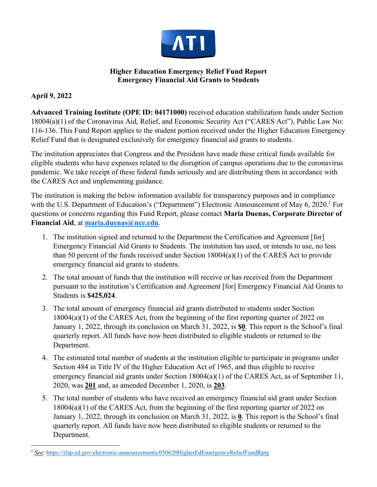

## **Higher Education Emergency Relief Fund Report Emergency Financial Aid Grants to Students**

## **April 9, 2022**

**Advanced Training Institute (OPE ID: 04171000)** received education stabilization funds under Section 18004(a)(1) of the Coronavirus Aid, Relief, and Economic Security Act ("CARES Act"), Public Law No: 116-136. This Fund Report applies to the student portion received under the Higher Education Emergency Relief Fund that is designated exclusively for emergency financial aid grants to students.

The institution appreciates that Congress and the President have made these critical funds available for eligible students who have expenses related to the disruption of campus operations due to the coronavirus pandemic. We take receipt of these federal funds seriously and are distributing them in accordance with the CARES Act and implementing guidance.

The institution is making the below information available for transparency purposes and in compliance with the U.S. Department of Education's ("Department") Electronic Announcement of May 6, 2020.<sup>1</sup> For questions or concerns regarding this Fund Report, please contact **Maria Duenas, Corporate Director of Financial Aid**, at **maria.duenas@nce.edu**.

- 1. The institution signed and returned to the Department the Certification and Agreement [for] Emergency Financial Aid Grants to Students. The institution has used, or intends to use, no less than 50 percent of the funds received under Section 18004(a)(1) of the CARES Act to provide emergency financial aid grants to students.
- 2. The total amount of funds that the institution will receive or has received from the Department pursuant to the institution's Certification and Agreement [for] Emergency Financial Aid Grants to Students is **\$425,024**.
- 3. The total amount of emergency financial aid grants distributed to students under Section 18004(a)(1) of the CARES Act, from the beginning of the first reporting quarter of 2022 on January 1, 2022, through its conclusion on March 31, 2022, is **\$0**. This report is the School's final quarterly report. All funds have now been distributed to eligible students or returned to the Department.
- 4. The estimated total number of students at the institution eligible to participate in programs under Section 484 in Title IV of the Higher Education Act of 1965, and thus eligible to receive emergency financial aid grants under Section 18004(a)(1) of the CARES Act, as of September 11, 2020, was **201** and, as amended December 1, 2020, is **203**.
- 5. The total number of students who have received an emergency financial aid grant under Section 18004(a)(1) of the CARES Act, from the beginning of the first reporting quarter of 2022 on January 1, 2022, through its conclusion on March 31, 2022, is **0**. This report is the School's final quarterly report. All funds have now been distributed to eligible students or returned to the Department.

<sup>1</sup> *See*: https://ifap.ed.gov/electronic-announcements/050620HigherEdEmergencyReliefFundRptg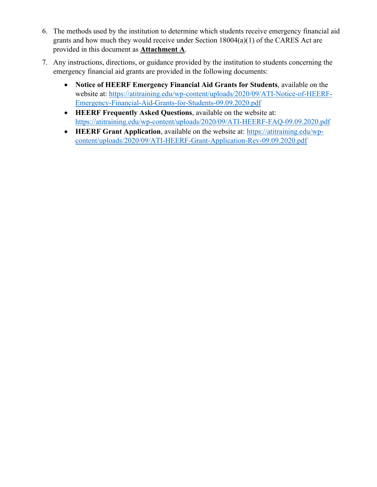- 6. The methods used by the institution to determine which students receive emergency financial aid grants and how much they would receive under Section 18004(a)(1) of the CARES Act are provided in this document as **Attachment A**.
- 7. Any instructions, directions, or guidance provided by the institution to students concerning the emergency financial aid grants are provided in the following documents:
	- **Notice of HEERF Emergency Financial Aid Grants for Students**, available on the website at: https://atitraining.edu/wp-content/uploads/2020/09/ATI-Notice-of-HEERF-Emergency-Financial-Aid-Grants-for-Students-09.09.2020.pdf
	- **HEERF Frequently Asked Questions**, available on the website at: https://atitraining.edu/wp-content/uploads/2020/09/ATI-HEERF-FAQ-09.09.2020.pdf
	- **HEERF Grant Application**, available on the website at: https://atitraining.edu/wpcontent/uploads/2020/09/ATI-HEERF-Grant-Application-Rev-09.09.2020.pdf